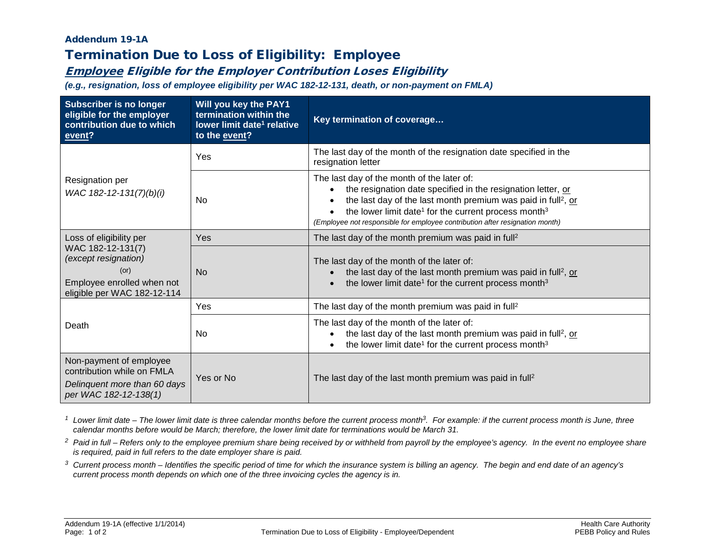## Addendum 19-1A

## Termination Due to Loss of Eligibility: Employee

## Employee Eligible for the Employer Contribution Loses Eligibility

*(e.g., resignation, loss of employee eligibility per WAC 182-12-131, death, or non-payment on FMLA)*

| <b>Subscriber is no longer</b><br>eligible for the employer<br>contribution due to which<br>event?                                        | Will you key the PAY1<br>termination within the<br>lower limit date <sup>1</sup> relative<br>to the event? | Key termination of coverage                                                                                                                                                                                                                                                                                                                             |  |
|-------------------------------------------------------------------------------------------------------------------------------------------|------------------------------------------------------------------------------------------------------------|---------------------------------------------------------------------------------------------------------------------------------------------------------------------------------------------------------------------------------------------------------------------------------------------------------------------------------------------------------|--|
| Resignation per<br>WAC 182-12-131(7)(b)(i)                                                                                                | Yes                                                                                                        | The last day of the month of the resignation date specified in the<br>resignation letter                                                                                                                                                                                                                                                                |  |
|                                                                                                                                           | <b>No</b>                                                                                                  | The last day of the month of the later of:<br>the resignation date specified in the resignation letter, or<br>the last day of the last month premium was paid in full <sup>2</sup> , or<br>the lower limit date <sup>1</sup> for the current process month <sup>3</sup><br>(Employee not responsible for employee contribution after resignation month) |  |
| Loss of eligibility per<br>WAC 182-12-131(7)<br>(except resignation)<br>(or)<br>Employee enrolled when not<br>eligible per WAC 182-12-114 | Yes                                                                                                        | The last day of the month premium was paid in full <sup>2</sup>                                                                                                                                                                                                                                                                                         |  |
|                                                                                                                                           | N <sub>o</sub>                                                                                             | The last day of the month of the later of:<br>the last day of the last month premium was paid in full <sup>2</sup> , or<br>the lower limit date <sup>1</sup> for the current process month <sup>3</sup>                                                                                                                                                 |  |
| Death                                                                                                                                     | Yes                                                                                                        | The last day of the month premium was paid in full <sup>2</sup>                                                                                                                                                                                                                                                                                         |  |
|                                                                                                                                           | No.                                                                                                        | The last day of the month of the later of:<br>the last day of the last month premium was paid in full <sup>2</sup> , or<br>the lower limit date <sup>1</sup> for the current process month <sup>3</sup>                                                                                                                                                 |  |
| Non-payment of employee<br>contribution while on FMLA<br>Delinquent more than 60 days                                                     | Yes or No                                                                                                  | The last day of the last month premium was paid in full <sup>2</sup>                                                                                                                                                                                                                                                                                    |  |
| per WAC 182-12-138(1)                                                                                                                     |                                                                                                            |                                                                                                                                                                                                                                                                                                                                                         |  |

<sup>1</sup> Lower limit date – The lower limit date is three calendar months before the current process month<sup>3</sup>. For example: if the current process month is June, three *calendar months before would be March; therefore, the lower limit date for terminations would be March 31.*

- <sup>2</sup> Paid in full Refers only to the employee premium share being received by or withheld from payroll by the employee's agency. In the event no employee share *is required, paid in full refers to the date employer share is paid.*
- *<sup>3</sup> Current process month – Identifies the specific period of time for which the insurance system is billing an agency. The begin and end date of an agency's current process month depends on which one of the three invoicing cycles the agency is in.*